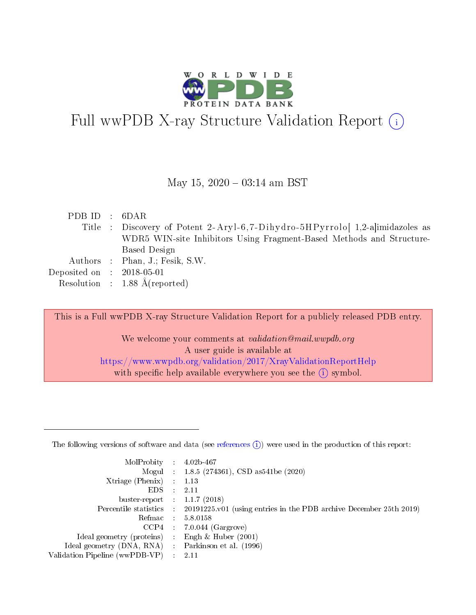

# Full wwPDB X-ray Structure Validation Report  $(i)$

#### May 15,  $2020 - 03:14$  am BST

| Title : Discovery of Potent 2-Aryl-6,7-Dihydro-5HPyrrolo [1,2-a   imidazoles as |  |
|---------------------------------------------------------------------------------|--|
| WDR5 WIN-site Inhibitors Using Fragment-Based Methods and Structure-            |  |
| Based Design                                                                    |  |
| Authors : Phan, J.; Fesik, S.W.                                                 |  |
| Deposited on : $2018-05-01$                                                     |  |
| Resolution : 1.88 $\AA$ (reported)                                              |  |

This is a Full wwPDB X-ray Structure Validation Report for a publicly released PDB entry.

We welcome your comments at validation@mail.wwpdb.org A user guide is available at <https://www.wwpdb.org/validation/2017/XrayValidationReportHelp> with specific help available everywhere you see the  $(i)$  symbol.

The following versions of software and data (see [references](https://www.wwpdb.org/validation/2017/XrayValidationReportHelp#references)  $(1)$ ) were used in the production of this report:

| MolProbity                     | $\mathcal{L}_{\rm{max}}$ | $4.02b - 467$                                                                |
|--------------------------------|--------------------------|------------------------------------------------------------------------------|
|                                |                          | Mogul : $1.8.5$ (274361), CSD as 541be (2020)                                |
| $X$ triage (Phenix) :          |                          | 1.13                                                                         |
| EDS.                           |                          | 2.11                                                                         |
| buster-report : $1.1.7$ (2018) |                          |                                                                              |
| Percentile statistics :        |                          | $20191225 \text{ v}01$ (using entries in the PDB archive December 25th 2019) |
| Refmac                         |                          | 5.8.0158                                                                     |
| $CCP4$ :                       |                          | $7.0.044$ (Gargrove)                                                         |
| Ideal geometry (proteins) :    |                          | Engh $\&$ Huber (2001)                                                       |
| Ideal geometry (DNA, RNA) :    |                          | Parkinson et al. (1996)                                                      |
| Validation Pipeline (wwPDB-VP) | $\mathcal{L}$            | -2.11                                                                        |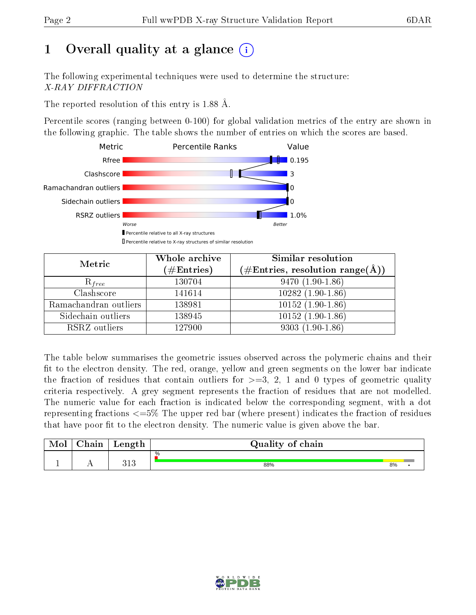# 1 [O](https://www.wwpdb.org/validation/2017/XrayValidationReportHelp#overall_quality)verall quality at a glance  $(i)$

The following experimental techniques were used to determine the structure: X-RAY DIFFRACTION

The reported resolution of this entry is 1.88 Å.

Percentile scores (ranging between 0-100) for global validation metrics of the entry are shown in the following graphic. The table shows the number of entries on which the scores are based.



| Metric                | Whole archive<br>$(\#\text{Entries})$ | Similar resolution<br>$(\#\text{Entries},\,\text{resolution}\,\,\text{range}(\textup{\AA}))$ |
|-----------------------|---------------------------------------|----------------------------------------------------------------------------------------------|
| $R_{free}$            | 130704                                | $9470(1.90-1.86)$                                                                            |
| Clashscore            | 141614                                | $10282(1.90-1.86)$                                                                           |
| Ramachandran outliers | 138981                                | $10152(1.90-1.86)$                                                                           |
| Sidechain outliers    | 138945                                | $10152(1.90-1.86)$                                                                           |
| RSRZ outliers         | 127900                                | $9303(1.90-1.86)$                                                                            |

The table below summarises the geometric issues observed across the polymeric chains and their fit to the electron density. The red, orange, yellow and green segments on the lower bar indicate the fraction of residues that contain outliers for  $>=3, 2, 1$  and 0 types of geometric quality criteria respectively. A grey segment represents the fraction of residues that are not modelled. The numeric value for each fraction is indicated below the corresponding segment, with a dot representing fractions  $\epsilon=5\%$  The upper red bar (where present) indicates the fraction of residues that have poor fit to the electron density. The numeric value is given above the bar.

| Mol | $\cap$ hain | Length     | Quality of chain |    |  |
|-----|-------------|------------|------------------|----|--|
|     |             |            | %                |    |  |
|     |             | 919<br>ง⊥ง | 88%              | 8% |  |

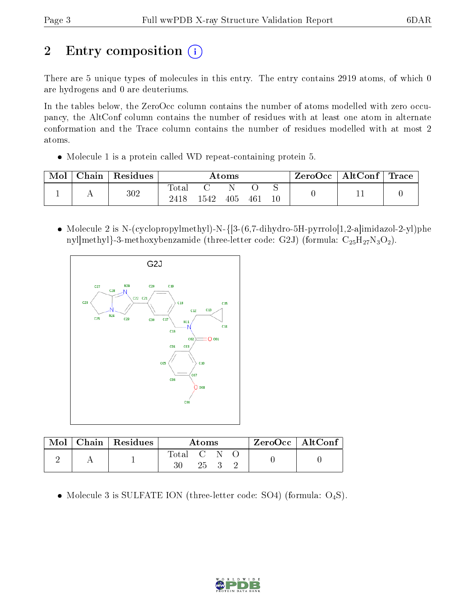# 2 Entry composition  $\left( \cdot \right)$

There are 5 unique types of molecules in this entry. The entry contains 2919 atoms, of which 0 are hydrogens and 0 are deuteriums.

In the tables below, the ZeroOcc column contains the number of atoms modelled with zero occupancy, the AltConf column contains the number of residues with at least one atom in alternate conformation and the Trace column contains the number of residues modelled with at most 2 atoms.

Molecule 1 is a protein called WD repeat-containing protein 5.

| Mol | Chain | Residues | $\rm{Atoms}$           |      |     |     | ZeroOcc | $\mid$ AltConf $\mid$ Trace |  |  |
|-----|-------|----------|------------------------|------|-----|-----|---------|-----------------------------|--|--|
|     |       | $302\,$  | $\hbox{Total}$<br>2418 | 1542 | 405 | 461 | $10\,$  |                             |  |  |

• Molecule 2 is N-(cyclopropylmethyl)-N- $\{3-(6,7-\text{dihydro-5H-pyrrolo}[1,2-\text{a}] \text{imidazol-2-yl})\}$ phe nyl|methyl}-3-methoxybenzamide (three-letter code: G2J) (formula:  $C_{25}H_{27}N_3O_2$ ).



|  | Mol   Chain   Residues | Atoms     |     |  |  | $ZeroOcc \   \$ AltConf |
|--|------------------------|-----------|-----|--|--|-------------------------|
|  |                        | Total C N | 25. |  |  |                         |

• Molecule 3 is SULFATE ION (three-letter code: SO4) (formula:  $O_4S$ ).

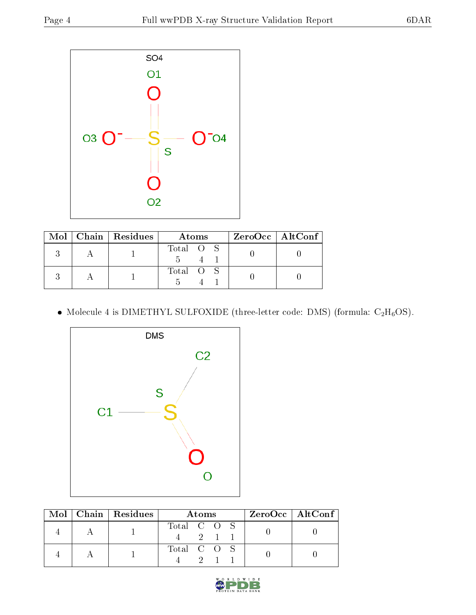

|  | $\text{Mol}$   Chain   Residues | Atoms     | $ZeroOcc \mid AltConf \mid$ |
|--|---------------------------------|-----------|-----------------------------|
|  |                                 | Total O S |                             |
|  |                                 | Total O S |                             |

 $\bullet$  Molecule 4 is DIMETHYL SULFOXIDE (three-letter code: DMS) (formula: C<sub>2</sub>H<sub>6</sub>OS).



|  | Mol   Chain   Residues | Atoms       |  |          |  | $ZeroOcc \   \$ AltConf |
|--|------------------------|-------------|--|----------|--|-------------------------|
|  |                        | Total C O S |  | $-2$ 1 1 |  |                         |
|  |                        | Total C O S |  |          |  |                         |

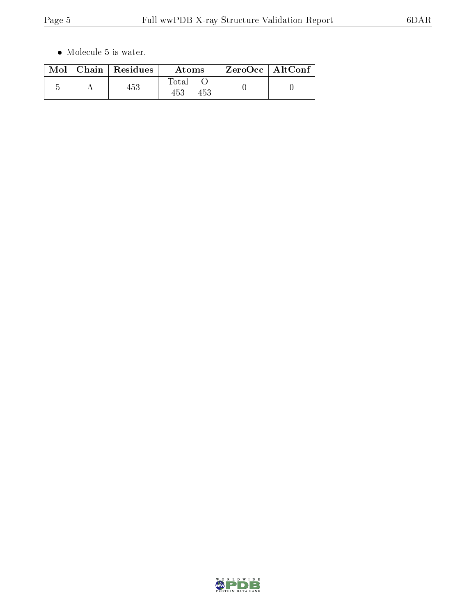$\bullet\,$  Molecule 5 is water.

|  | $\text{Mol}$   Chain   Residues | Atoms        | ZeroOcc   AltConf |  |
|--|---------------------------------|--------------|-------------------|--|
|  | 453                             | Total<br>453 |                   |  |

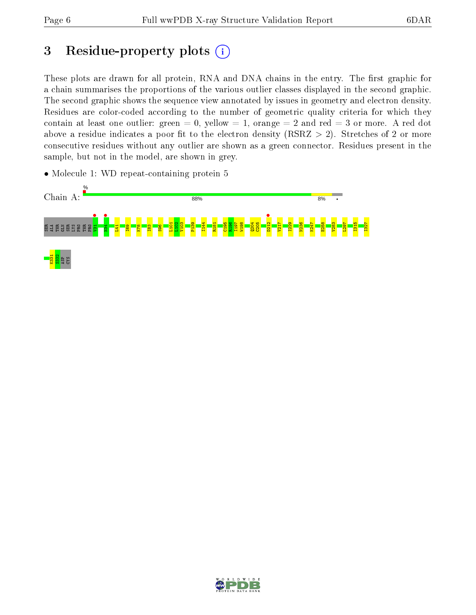# 3 Residue-property plots  $(i)$

These plots are drawn for all protein, RNA and DNA chains in the entry. The first graphic for a chain summarises the proportions of the various outlier classes displayed in the second graphic. The second graphic shows the sequence view annotated by issues in geometry and electron density. Residues are color-coded according to the number of geometric quality criteria for which they contain at least one outlier: green  $= 0$ , yellow  $= 1$ , orange  $= 2$  and red  $= 3$  or more. A red dot above a residue indicates a poor fit to the electron density (RSRZ  $> 2$ ). Stretches of 2 or more consecutive residues without any outlier are shown as a green connector. Residues present in the sample, but not in the model, are shown in grey.

• Molecule 1: WD repeat-containing protein 5



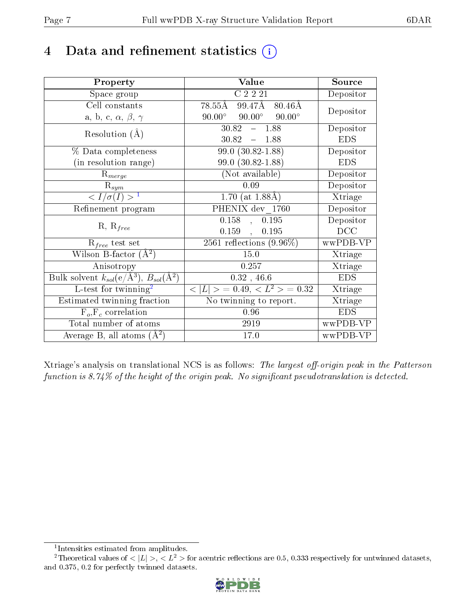## 4 Data and refinement statistics  $(i)$

| Property                                                         | Value                                           | Source     |
|------------------------------------------------------------------|-------------------------------------------------|------------|
| Space group                                                      | $\overline{C}$ 2 2 2 1                          | Depositor  |
| Cell constants                                                   | $99.47\text{\AA}$ 80.46Å<br>$78.55\text{\AA}$   | Depositor  |
| a, b, c, $\alpha$ , $\beta$ , $\gamma$                           | $90.00^\circ$<br>$90.00^\circ$<br>$90.00^\circ$ |            |
| Resolution $(A)$                                                 | 30.82<br>1.88<br>$\frac{1}{2}$                  | Depositor  |
|                                                                  | $30.82 - 1.88$                                  | <b>EDS</b> |
| $\%$ Data completeness                                           | $99.0(30.82 - 1.88)$                            | Depositor  |
| (in resolution range)                                            | 99.0 (30.82-1.88)                               | <b>EDS</b> |
| $R_{merge}$                                                      | (Not available)                                 | Depositor  |
| $\mathrm{R}_{sym}$                                               | 0.09                                            | Depositor  |
| $\langle I/\sigma(I) \rangle^{-1}$                               | 1.70 (at $1.88\AA$ )                            | Xtriage    |
| Refinement program                                               | PHENIX dev 1760                                 | Depositor  |
|                                                                  | 0.158<br>0.195<br>$\sim$                        | Depositor  |
| $R, R_{free}$                                                    | $0.159$ ,<br>0.195                              | DCC        |
| $R_{free}$ test set                                              | $2561$ reflections $(9.96\%)$                   | wwPDB-VP   |
| Wilson B-factor $(A^2)$                                          | 15.0                                            | Xtriage    |
| Anisotropy                                                       | 0.257                                           | Xtriage    |
| Bulk solvent $k_{sol}(\text{e}/\text{A}^3), B_{sol}(\text{A}^2)$ | 0.32, 46.6                                      | <b>EDS</b> |
| L-test for $\mathrm{twinning}^2$                                 | $< L >$ = 0.49, $< L2$ = 0.32                   | Xtriage    |
| Estimated twinning fraction                                      | No twinning to report.                          | Xtriage    |
| $\overline{F_o}, \overline{F_c}$ correlation                     | 0.96                                            | <b>EDS</b> |
| Total number of atoms                                            | 2919                                            | wwPDB-VP   |
| Average B, all atoms $(A^2)$                                     | 17.0                                            | wwPDB-VP   |

Xtriage's analysis on translational NCS is as follows: The largest off-origin peak in the Patterson function is  $8.74\%$  of the height of the origin peak. No significant pseudotranslation is detected.

<sup>&</sup>lt;sup>2</sup>Theoretical values of  $\langle |L| \rangle$ ,  $\langle L^2 \rangle$  for acentric reflections are 0.5, 0.333 respectively for untwinned datasets, and 0.375, 0.2 for perfectly twinned datasets.



<span id="page-6-1"></span><span id="page-6-0"></span><sup>1</sup> Intensities estimated from amplitudes.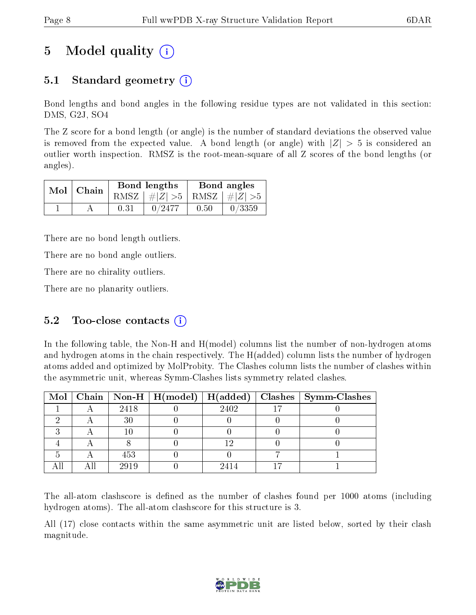# 5 Model quality  $(i)$

### 5.1 Standard geometry (i)

Bond lengths and bond angles in the following residue types are not validated in this section: DMS, G2J, SO4

The Z score for a bond length (or angle) is the number of standard deviations the observed value is removed from the expected value. A bond length (or angle) with  $|Z| > 5$  is considered an outlier worth inspection. RMSZ is the root-mean-square of all Z scores of the bond lengths (or angles).

| $Mol$   Chain | Bond lengths |                                 | Bond angles |        |
|---------------|--------------|---------------------------------|-------------|--------|
|               |              | RMSZ $ #Z  > 5$ RMSZ $ #Z  > 5$ |             |        |
|               | 0.31         | 0/2477                          | 0.50        | 0/3359 |

There are no bond length outliers.

There are no bond angle outliers.

There are no chirality outliers.

There are no planarity outliers.

#### 5.2 Too-close contacts  $(i)$

In the following table, the Non-H and H(model) columns list the number of non-hydrogen atoms and hydrogen atoms in the chain respectively. The H(added) column lists the number of hydrogen atoms added and optimized by MolProbity. The Clashes column lists the number of clashes within the asymmetric unit, whereas Symm-Clashes lists symmetry related clashes.

|  |      |      | Mol   Chain   Non-H   H(model)   H(added)   Clashes   Symm-Clashes |
|--|------|------|--------------------------------------------------------------------|
|  | 2418 | 2402 |                                                                    |
|  |      |      |                                                                    |
|  |      |      |                                                                    |
|  |      |      |                                                                    |
|  | 453  |      |                                                                    |
|  | 2919 | 2414 |                                                                    |

The all-atom clashscore is defined as the number of clashes found per 1000 atoms (including hydrogen atoms). The all-atom clashscore for this structure is 3.

All (17) close contacts within the same asymmetric unit are listed below, sorted by their clash magnitude.

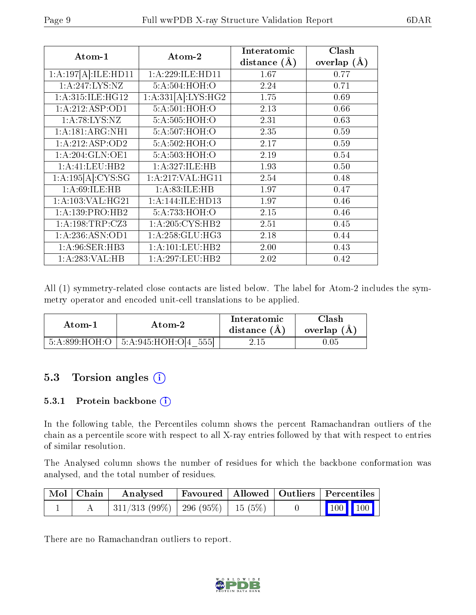| Atom-1               | Atom-2             | Interatomic      | Clash         |
|----------------------|--------------------|------------------|---------------|
|                      |                    | distance $(\AA)$ | overlap $(A)$ |
| 1:A:197[A]:ILE:HDI1  | 1:A:229:ILE:HD11   | 1.67             | 0.77          |
| 1: A:247: LYS: NZ    | 5:A:504:HOH:O      | 2.24             | 0.71          |
| 1:A:315:ILE:HG12     | 1:A:331[A]:LYS:HG2 | 1.75             | 0.69          |
| 1:A:212:ASP:OD1      | 5:A:501:HOH:O      | 2.13             | 0.66          |
| 1: A:78: LYS: NZ     | 5:A:505:HOH:O      | 2.31             | 0.63          |
| 1: A:181: ARG:NH1    | 5:A:507:HOH:O      | 2.35             | 0.59          |
| 1:A:212:ASP:OD2      | 5:A:502:HOH:O      | 2.17             | 0.59          |
| 1: A:204: GLN:OE1    | 5:A:503:HOH:O      | 2.19             | 0.54          |
| 1:A:41:LEU:HB2       | 1:A:327:ILE:HB     | 1.93             | 0.50          |
| 1: A:195[A]: CYS:SG  | 1: A:217: VAL:HGI1 | 2.54             | 0.48          |
| 1: A:69: ILE: HB     | 1: A:83: ILE: HB   | 1.97             | 0.47          |
| 1: A: 103: VAL: HG21 | 1:A:144:ILE:HD13   | 1.97             | 0.46          |
| 1: A: 139: PRO: HB2  | 5:A:733:HOH:O      | 2.15             | 0.46          |
| 1: A: 198: TRP: CZ3  | 1: A:205: CYS:HB2  | 2.51             | 0.45          |
| 1: A:236: ASN:OD1    | 1: A:258: GLU:HG3  | 2.18             | 0.44          |
| 1: A:96: SER: HB3    | 1:A:101:LEU:HB2    | 2.00             | 0.43          |
| 1: A:283: VAL:HB     | 1:A:297:LEU:HB2    | 2.02             | 0.42          |

All (1) symmetry-related close contacts are listed below. The label for Atom-2 includes the symmetry operator and encoded unit-cell translations to be applied.

| Atom-1 | Atom-2                                      | Interatomic<br>distance $(A)$ | Clash<br>overlap $(A)$ |
|--------|---------------------------------------------|-------------------------------|------------------------|
|        | $5:A:899:HOH:O$   $5:A:945:HOH:O[4]$<br>555 | 2.15                          |                        |

### 5.3 Torsion angles (i)

#### 5.3.1 Protein backbone (i)

In the following table, the Percentiles column shows the percent Ramachandran outliers of the chain as a percentile score with respect to all X-ray entries followed by that with respect to entries of similar resolution.

The Analysed column shows the number of residues for which the backbone conformation was analysed, and the total number of residues.

| $\mid$ Mol $\mid$ Chain $\mid$ | Analysed                            | Favoured   Allowed   Outliers   Percentiles |  |                                                              |  |
|--------------------------------|-------------------------------------|---------------------------------------------|--|--------------------------------------------------------------|--|
|                                | 311/313 (99%)   296 (95%)   15 (5%) |                                             |  | $\begin{array}{ c c c c c }\n\hline\n100 & 100\n\end{array}$ |  |

There are no Ramachandran outliers to report.

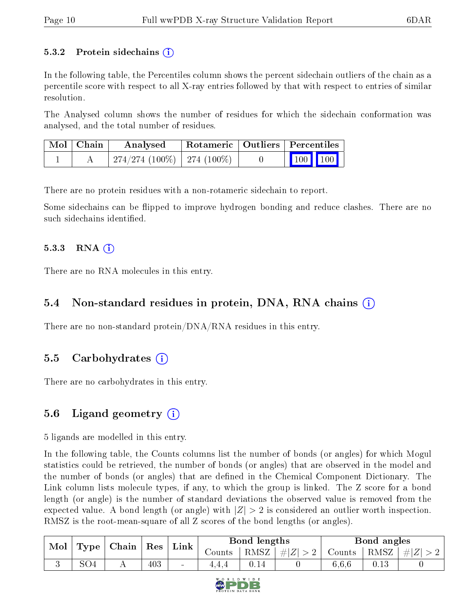#### 5.3.2 Protein sidechains  $\hat{I}$

In the following table, the Percentiles column shows the percent sidechain outliers of the chain as a percentile score with respect to all X-ray entries followed by that with respect to entries of similar resolution.

The Analysed column shows the number of residues for which the sidechain conformation was analysed, and the total number of residues.

| Mol   Chain | Analysed                       |  | Rotameric   Outliers   Percentiles |
|-------------|--------------------------------|--|------------------------------------|
|             | $274/274(100\%)$   274 (100\%) |  | $\boxed{100}$ $\boxed{100}$        |

There are no protein residues with a non-rotameric sidechain to report.

Some sidechains can be flipped to improve hydrogen bonding and reduce clashes. There are no such sidechains identified.

#### 5.3.3 RNA  $(i)$

There are no RNA molecules in this entry.

### 5.4 Non-standard residues in protein, DNA, RNA chains (i)

There are no non-standard protein/DNA/RNA residues in this entry.

### 5.5 Carbohydrates (i)

There are no carbohydrates in this entry.

### 5.6 Ligand geometry (i)

5 ligands are modelled in this entry.

In the following table, the Counts columns list the number of bonds (or angles) for which Mogul statistics could be retrieved, the number of bonds (or angles) that are observed in the model and the number of bonds (or angles) that are defined in the Chemical Component Dictionary. The Link column lists molecule types, if any, to which the group is linked. The Z score for a bond length (or angle) is the number of standard deviations the observed value is removed from the expected value. A bond length (or angle) with  $|Z| > 2$  is considered an outlier worth inspection. RMSZ is the root-mean-square of all Z scores of the bond lengths (or angles).

| Mol |                 | $ $ Chain $ $ | $^{\shortmid}$ $\operatorname{Res}$ | Link   |         | Bond lengths |         |        | Bond angles |       |
|-----|-----------------|---------------|-------------------------------------|--------|---------|--------------|---------|--------|-------------|-------|
|     | Type            |               |                                     |        | Counts- | RMSZ         | $\# Z $ | Counts | RMSZ        | $\#Z$ |
|     | SO <sub>4</sub> |               | 403                                 | $\sim$ | 4,4,4   | 0.14         |         | 6,6,6  | 0.13        |       |

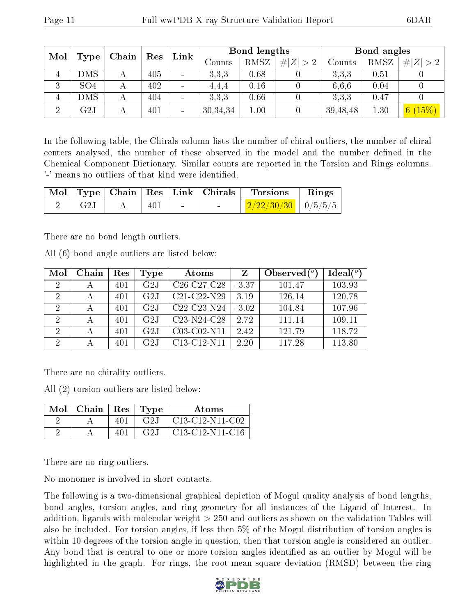| Mol      |                         | Chain | Res | Link |          | Bond lengths |           |          | Bond angles |             |
|----------|-------------------------|-------|-----|------|----------|--------------|-----------|----------|-------------|-------------|
|          | Type                    |       |     |      | Counts   | RMSZ         | Z  <br>>2 | Counts   | RMSZ        | # $ Z  > 2$ |
| 4        | DMS                     |       | 405 |      | 3.3.3    | 0.68         |           | 3.3.3    | 0.51        |             |
| 3        | SO <sub>4</sub>         |       | 402 |      | 4.4.4    | 0.16         |           | 6.6.6    | 0.04        |             |
| 4        | DMS                     |       | 404 |      | 3.3.3    | 0.66         |           | 3.3.3    | 0.47        |             |
| $\Omega$ | $\overline{\text{G2J}}$ |       | 401 |      | 30,34,34 | 1.00         |           | 39,48,48 | 1.30        | 6(15%)      |

In the following table, the Chirals column lists the number of chiral outliers, the number of chiral centers analysed, the number of these observed in the model and the number defined in the Chemical Component Dictionary. Similar counts are reported in the Torsion and Rings columns. '-' means no outliers of that kind were identified.

|              |     |                 | $\mid$ Mol $\mid$ Type $\mid$ Chain $\mid$ Res $\mid$ Link $\mid$ Chirals $\mid$ Torsions | $\parallel$ Rings |
|--------------|-----|-----------------|-------------------------------------------------------------------------------------------|-------------------|
| $_{\rm G2J}$ | 401 | <b>Contract</b> | $\mid$ 2/22/30/30 $\mid$ 0/5/5/5 $\mid$                                                   |                   |

There are no bond length outliers.

All (6) bond angle outliers are listed below:

| Mol            | Chain | Res | Type | Atoms                                             | Ζ       | Observed $(°)$ | Ideal(°) |
|----------------|-------|-----|------|---------------------------------------------------|---------|----------------|----------|
| 2              |       | 401 | G2J  | $C26-C27-C28$                                     | $-3.37$ | 101.47         | 103.93   |
| 2              |       | 401 | G2J  | $C21-C22-N29$                                     | 3.19    | 126.14         | 120.78   |
| 2              |       | 401 | G2J  | C <sub>22</sub> -C <sub>23</sub> -N <sub>24</sub> | $-3.02$ | 104.84         | 107.96   |
| 2              |       | 401 | G2J  | $C23-N24-C28$                                     | 2.72    | 111.14         | 109.11   |
| $\overline{2}$ |       | 401 | G2J  | C03-C02-N11                                       | 2.42    | 121.79         | 118.72   |
| 2              |       | 401 | G2J  | C13-C12-N11                                       | 2.20    | 117.28         | 113.80   |

There are no chirality outliers.

All (2) torsion outliers are listed below:

| Mol | Chain | Res | Tvpe | Atoms             |
|-----|-------|-----|------|-------------------|
|     |       |     | G2J  | $C13-C12-N11-C02$ |
|     |       |     | G2J  | $C13-C12-N11-C16$ |

There are no ring outliers.

No monomer is involved in short contacts.

The following is a two-dimensional graphical depiction of Mogul quality analysis of bond lengths, bond angles, torsion angles, and ring geometry for all instances of the Ligand of Interest. In addition, ligands with molecular weight > 250 and outliers as shown on the validation Tables will also be included. For torsion angles, if less then 5% of the Mogul distribution of torsion angles is within 10 degrees of the torsion angle in question, then that torsion angle is considered an outlier. Any bond that is central to one or more torsion angles identified as an outlier by Mogul will be highlighted in the graph. For rings, the root-mean-square deviation (RMSD) between the ring

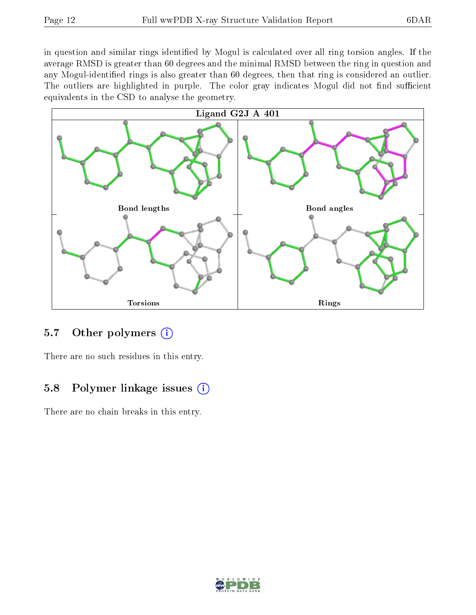in question and similar rings identified by Mogul is calculated over all ring torsion angles. If the average RMSD is greater than 60 degrees and the minimal RMSD between the ring in question and any Mogul-identified rings is also greater than 60 degrees, then that ring is considered an outlier. The outliers are highlighted in purple. The color gray indicates Mogul did not find sufficient equivalents in the CSD to analyse the geometry.



### 5.7 [O](https://www.wwpdb.org/validation/2017/XrayValidationReportHelp#nonstandard_residues_and_ligands)ther polymers (i)

There are no such residues in this entry.

#### 5.8 Polymer linkage issues  $(i)$

There are no chain breaks in this entry.

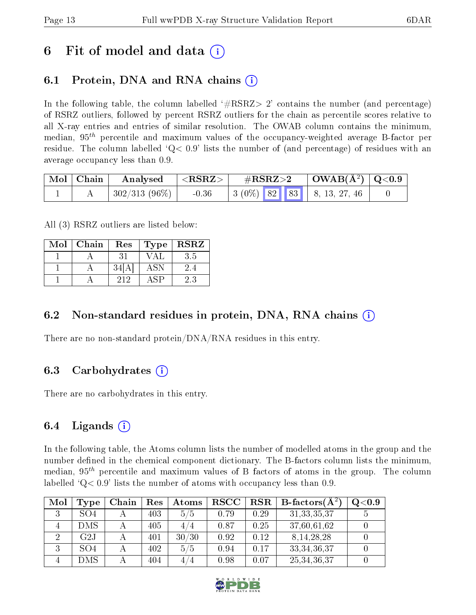## 6 Fit of model and data  $\left( \cdot \right)$

### 6.1 Protein, DNA and RNA chains (i)

In the following table, the column labelled  $#RSRZ>2'$  contains the number (and percentage) of RSRZ outliers, followed by percent RSRZ outliers for the chain as percentile scores relative to all X-ray entries and entries of similar resolution. The OWAB column contains the minimum, median,  $95<sup>th</sup>$  percentile and maximum values of the occupancy-weighted average B-factor per residue. The column labelled  $Q < 0.9$  lists the number of (and percentage) of residues with an average occupancy less than 0.9.

| Mol   Chain | $\boldsymbol{\mathrm{Analysed}}$ | $^\circ$ <rsrz></rsrz> | $\rm \#RSRZ{>}2$                            | $\vert$ OWAB( $\rm \AA^2)$ $\vert$ Q<0.9 $\vert$ |  |
|-------------|----------------------------------|------------------------|---------------------------------------------|--------------------------------------------------|--|
|             | 302/313 (96%)                    | $-0.36$                | $\vert 3 (0\%)$ 82 83 $\vert 8, 13, 27, 46$ |                                                  |  |

All (3) RSRZ outliers are listed below:

| Mol | Chain | Res | Type            | <b>RSRZ</b>   |
|-----|-------|-----|-----------------|---------------|
|     |       | 31  | VA <sub>1</sub> | 3.5           |
|     |       | 34  | ASN             | $2.4^{\circ}$ |
|     |       | 212 |                 | 2.3           |

### 6.2 Non-standard residues in protein, DNA, RNA chains  $(i)$

There are no non-standard protein/DNA/RNA residues in this entry.

### 6.3 Carbohydrates (i)

There are no carbohydrates in this entry.

### 6.4 Ligands  $(i)$

In the following table, the Atoms column lists the number of modelled atoms in the group and the number defined in the chemical component dictionary. The B-factors column lists the minimum, median,  $95<sup>th</sup>$  percentile and maximum values of B factors of atoms in the group. The column labelled  $Q< 0.9$  lists the number of atoms with occupancy less than 0.9.

| Mol            | Type            | Chain | Res | Atoms | <b>RSCC</b> | RSR  | <b>B</b> -factors( $\AA^2$ ) | $Q<$ 0.9 |
|----------------|-----------------|-------|-----|-------|-------------|------|------------------------------|----------|
|                | SO <sub>4</sub> |       | 403 | 5/5   | 0.79        | 0.29 | 31, 33, 35, 37               |          |
|                | <b>DMS</b>      |       | 405 | 4 / 4 | 0.87        | 0.25 | 37,60,61,62                  |          |
| $\overline{2}$ | G2J             |       | 401 | 30/30 | 0.92        | 0.12 | 8, 14, 28, 28                |          |
|                | SO <sub>4</sub> |       | 402 | 5/5   | 0.94        | 0.17 | 33, 34, 36, 37               |          |
|                | DMS             |       | 404 | 4/4   | 0.98        | 0.07 | 25, 34, 36, 37               |          |